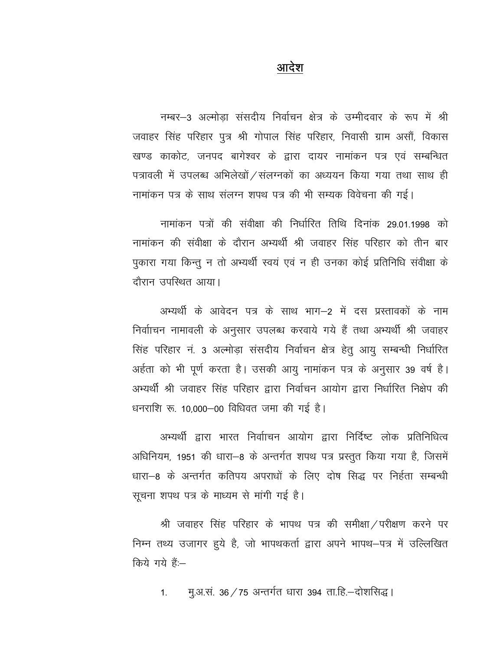## आदेश

नम्बर-3 अल्मोडा संसदीय निर्वाचन क्षेत्र के उम्मीदवार के रूप में श्री जवाहर सिंह परिहार पुत्र श्री गोपाल सिंह परिहार, निवासी ग्राम असौं, विकास खण्ड काकोट, जनपद बागेश्वर के द्वारा दायर नामांकन पत्र एवं सम्बन्धित पत्रावली में उपलब्ध अभिलेखों / संलग्नकों का अध्ययन किया गया तथा साथ ही नामांकन पत्र के साथ संलग्न शपथ पत्र की भी सम्यक विवेचना की गई।

नामांकन पत्रों की संवीक्षा की निर्धारित तिथि दिनांक 29.01.1998 को नामांकन की संवीक्षा के दौरान अभ्यर्थी श्री जवाहर सिंह परिहार को तीन बार पुकारा गया किन्तु न तो अभ्यर्थी स्वयं एवं न ही उनका कोई प्रतिनिधि संवीक्षा के दौरान उपस्थित आया।

अभ्यर्थी के आवेदन पत्र के साथ भाग–2 में दस प्रस्तावकों के नाम निर्वाचिन नामावली के अनुसार उपलब्ध करवाये गये हैं तथा अभ्यर्थी श्री जवाहर सिंह परिहार नं. 3 अल्मोड़ा संसदीय निर्वाचन क्षेत्र हेतु आयु सम्बन्धी निर्धारित अर्हता को भी पूर्ण करता है। उसकी आयु नामांकन पत्र के अनुसार 39 वर्ष है। अभ्यर्थी श्री जवाहर सिंह परिहार द्वारा निर्वाचन आयोग द्वारा निर्धारित निक्षेप की धनराशि रू 10,000–00 विधिवत जमा की गई है।

अभ्यर्थी द्वारा भारत निर्वााचन आयोग द्वारा निर्दिष्ट लोक प्रतिनिधित्व अधिनियम, 1951 की धारा–8 के अन्तर्गत शपथ पत्र प्रस्तुत किया गया है, जिसमें धारा-8 के अन्तर्गत कतिपय अपराधों के लिए दोष सिद्ध पर निर्हता सम्बन्धी सूचना शपथ पत्र के माध्यम से मांगी गई है।

श्री जवाहर सिंह परिहार के भापथ पत्र की समीक्षा / परीक्षण करने पर निम्न तथ्य उजागर हुये है, जो भापथकर्ता द्वारा अपने भापथ–पत्र में उल्लिखित किये गये हैं:--

मु.अ.सं. 36 / 75 अन्तर्गत धारा 394 ता.हि.-दोशसिद्ध।  $1.$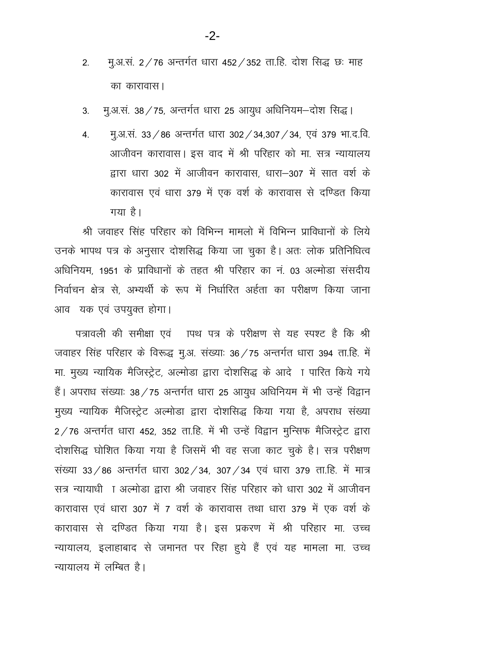- मु.अ.सं. 2/76 अन्तर्गत धारा 452/352 ता.हि. दोश सिद्ध छः माह  $2.$ का कारावास।
- मु.अ.सं. 38 / 75, अन्तर्गत धारा 25 आयुध अधिनियम-दोश सिद्ध। 3.
- मु.अ.सं. 33 / 86 अन्तर्गत धारा 302 / 34,307 / 34, एवं 379 भा.द.वि.  $\overline{4}$ . आजीवन कारावास। इस वाद में श्री परिहार को मा. सत्र न्यायालय द्वारा धारा 302 में आजीवन कारावास, धारा-307 में सात वर्श के कारावास एवं धारा 379 में एक वर्श के कारावास से दण्डित किया गया है।

श्री जवाहर सिंह परिहार को विभिन्न मामलो में विभिन्न प्राविधानों के लिये उनके भापथ पत्र के अनुसार दोशसिद्ध किया जा चुका है। अतः लोक प्रतिनिधित्व अधिनियम, 1951 के प्राविधानों के तहत श्री परिहार का नं. 03 अल्मोडा संसदीय निर्वाचन क्षेत्र से. अभ्यर्थी के रूप में निर्धारित अर्हता का परीक्षण किया जाना आव यक एवं उपयुक्त होगा।

पत्रावली की समीक्षा एवं पाथ पत्र के परीक्षण से यह स्पश्ट है कि श्री जवाहर सिंह परिहार के विरूद्ध मु.अ. संख्याः 36/75 अन्तर्गत धारा 394 ता.हि. में मा. मुख्य न्यायिक मैजिस्ट्रेट, अल्मोडा द्वारा दोशसिद्ध के आदे । पारित किये गये हैं। अपराध संख्याः 38 / 75 अन्तर्गत धारा 25 आयुध अधिनियम में भी उन्हें विद्वान मुख्य न्यायिक मैजिस्ट्रेट अल्मोडा द्वारा दोशसिद्ध किया गया है, अपराध संख्या  $2/76$  अन्तर्गत धारा 452, 352 ता.हि. में भी उन्हें विद्वान मुन्सिफ मैजिस्ट्रेट द्वारा दोशसिद्ध घोशित किया गया है जिसमें भी वह सजा काट चुके है। सत्र परीक्षण संख्या 33/86 अन्तर्गत धारा 302/34, 307/34 एवं धारा 379 ता.हि. में मात्र सत्र न्यायाधी । अल्मोडा द्वारा श्री जवाहर सिंह परिहार को धारा 302 में आजीवन कारावास एवं धारा 307 में 7 वर्श के कारावास तथा धारा 379 में एक वर्श के कारावास से दण्डित किया गया है। इस प्रकरण में श्री परिहार मा. उच्च न्यायालय, इलाहाबाद से जमानत पर रिहा हुये हैं एवं यह मामला मा. उच्च न्यायालय में लम्बित है।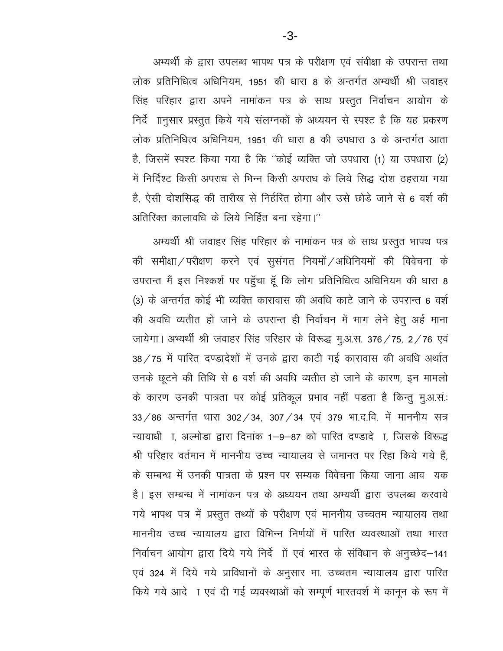अभ्यर्थी के द्वारा उपलब्ध भापथ पत्र के परीक्षण एवं संवीक्षा के उपरान्त तथा लोक प्रतिनिधित्व अधिनियम, 1951 की धारा 8 के अन्तर्गत अभ्यर्थी श्री जवाहर सिंह परिहार द्वारा अपने नामांकन पत्र के साथ प्रस्तुत निर्वाचन आयोग के निर्दे ाानुसार प्रस्तुत किये गये संलग्नकों के अध्ययन से स्पश्ट है कि यह प्रकरण लोक प्रतिनिधित्व अधिनियम, 1951 की धारा 8 की उपधारा 3 के अन्तर्गत आता है, जिसमें स्पश्ट किया गया है कि "कोई व्यक्ति जो उपधारा (1) या उपधारा (2) में निर्दिश्ट किसी अपराध से भिन्न किसी अपराध के लिये सिद्ध दोश ठहराया गया है, ऐसी दोशसिद्ध की तारीख से निर्हरित होगा और उसे छोड़े जाने से 6 वर्श की अतिरिक्त कालावधि के लिये निर्हित बना रहेगा।''

अभ्यर्थी श्री जवाहर सिंह परिहार के नामांकन पत्र के साथ प्रस्तुत भापथ पत्र की समीक्षा / परीक्षण करने एवं सुसंगत नियमों / अधिनियमों की विवेचना के उपरान्त मैं इस निश्कर्श पर पहुँचा हूँ कि लोग प्रतिनिधित्व अधिनियम की धारा 8 (3) के अन्तर्गत कोई भी व्यक्ति कारावास की अवधि काटे जाने के उपरान्त 6 वर्श की अवधि व्यतीत हो जाने के उपरान्त ही निर्वाचन में भाग लेने हेतु अर्ह माना जायेगा। अभ्यर्थी श्री जवाहर सिंह परिहार के विरूद्ध मू.अ.स. 376 / 75, 2 / 76 एवं 38 / 75 में पारित दण्डादेशों में उनके द्वारा काटी गई कारावास की अवधि अर्थात उनके छूटने की तिथि से 6 वर्श की अवधि व्यतीत हो जाने के कारण, इन मामलो के कारण उनकी पात्रता पर कोई प्रतिकूल प्रभाव नहीं पडता है किन्तु मु.अ.सं.: 33/86 अन्तर्गत धारा 302/34, 307/34 एवं 379 भा.द.वि. में माननीय सत्र न्यायाधी ।, अल्मोड़ा द्वारा दिनांक 1-9-87 को पारित दण्डादे ।, जिसके विरूद्ध श्री परिहार वर्तमान में माननीय उच्च न्यायालय से जमानत पर रिहा किये गये हैं, के सम्बन्ध में उनकी पात्रता के प्रश्न पर सम्यक विवेचना किया जाना आव यक है। इस सम्बन्ध में नामांकन पत्र के अध्ययन तथा अभ्यर्थी द्वारा उपलब्ध करवाये गये भापथ पत्र में प्रस्तुत तथ्यों के परीक्षण एवं माननीय उच्चतम न्यायालय तथा माननीय उच्च न्यायालय द्वारा विभिन्न निर्णयों में पारित व्यवस्थाओं तथा भारत निर्वाचन आयोग द्वारा दिये गये निर्दे ोों एवं भारत के संविधान के अनुच्छेद-141 एवं 324 में दिये गये प्राविधानों के अनुसार मा. उच्चतम न्यायालय द्वारा पारित किये गये आदे । एवं दी गई व्यवस्थाओं को सम्पूर्ण भारतवर्श में कानून के रूप में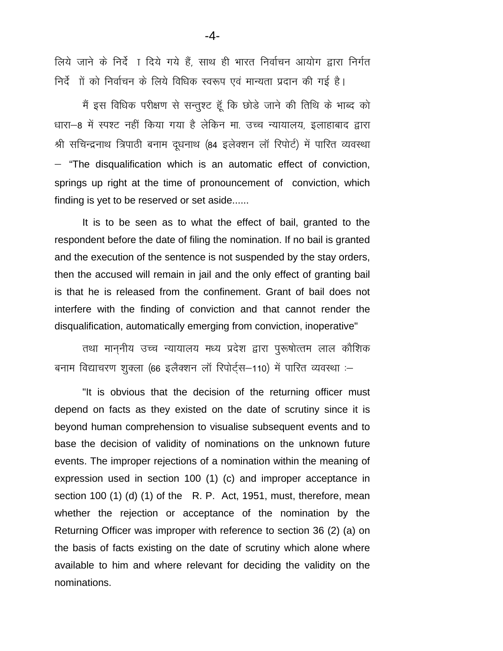लिये जाने के निर्दे । दिये गये हैं, साथ ही भारत निर्वाचन आयोग द्वारा निर्गत निर्दे ोों को निर्वाचन के लिये विधिक स्वरूप एवं मान्यता प्रदान की गई है।

मैं इस विधिक परीक्षण से सन्तुश्ट हूँ कि छोड़े जाने की तिथि के भाब्द को धारा-8 में स्पश्ट नहीं किया गया है लेकिन मा. उच्च न्यायालय, इलाहाबाद द्वारा श्री सचिन्द्रनाथ त्रिपाठी बनाम दूधनाथ (84 इलेक्शन लॉ रिपोर्ट) में पारित व्यवस्था - "The disqualification which is an automatic effect of conviction, springs up right at the time of pronouncement of conviction, which finding is yet to be reserved or set aside......

It is to be seen as to what the effect of bail, granted to the respondent before the date of filing the nomination. If no bail is granted and the execution of the sentence is not suspended by the stay orders, then the accused will remain in jail and the only effect of granting bail is that he is released from the confinement. Grant of bail does not interfere with the finding of conviction and that cannot render the disqualification, automatically emerging from conviction, inoperative"

तथा माननीय उच्च न्यायालय मध्य प्रदेश द्वारा पुरूषोत्तम लाल कौशिक बनाम विद्याचरण शुक्ला (66 इलैक्शन लॉ रिपोर्ट्स-110) में पारित व्यवस्था :-

"It is obvious that the decision of the returning officer must depend on facts as they existed on the date of scrutiny since it is beyond human comprehension to visualise subsequent events and to base the decision of validity of nominations on the unknown future events. The improper rejections of a nomination within the meaning of expression used in section 100 (1) (c) and improper acceptance in section 100 (1) (d) (1) of the R. P. Act, 1951, must, therefore, mean whether the rejection or acceptance of the nomination by the Returning Officer was improper with reference to section 36 (2) (a) on the basis of facts existing on the date of scrutiny which alone where available to him and where relevant for deciding the validity on the nominations.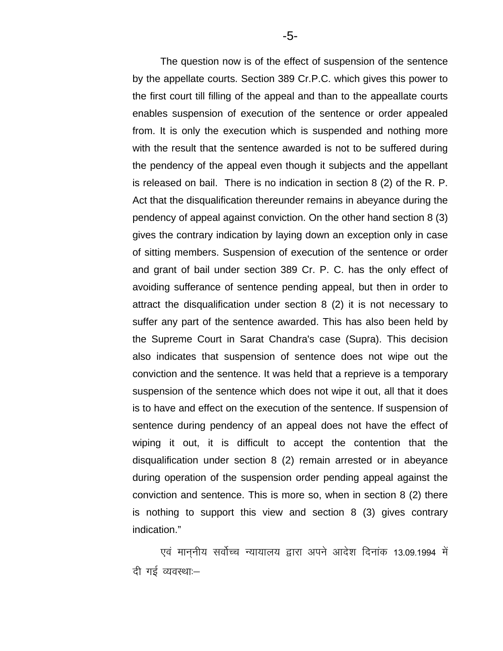The question now is of the effect of suspension of the sentence by the appellate courts. Section 389 Cr.P.C. which gives this power to the first court till filling of the appeal and than to the appeallate courts enables suspension of execution of the sentence or order appealed from. It is only the execution which is suspended and nothing more with the result that the sentence awarded is not to be suffered during the pendency of the appeal even though it subjects and the appellant is released on bail. There is no indication in section 8 (2) of the R. P. Act that the disqualification thereunder remains in abeyance during the pendency of appeal against conviction. On the other hand section 8 (3) gives the contrary indication by laying down an exception only in case of sitting members. Suspension of execution of the sentence or order and grant of bail under section 389 Cr. P. C. has the only effect of avoiding sufferance of sentence pending appeal, but then in order to attract the disqualification under section 8 (2) it is not necessary to suffer any part of the sentence awarded. This has also been held by the Supreme Court in Sarat Chandra's case (Supra). This decision also indicates that suspension of sentence does not wipe out the conviction and the sentence. It was held that a reprieve is a temporary suspension of the sentence which does not wipe it out, all that it does is to have and effect on the execution of the sentence. If suspension of sentence during pendency of an appeal does not have the effect of wiping it out, it is difficult to accept the contention that the disqualification under section 8 (2) remain arrested or in abeyance during operation of the suspension order pending appeal against the conviction and sentence. This is more so, when in section 8 (2) there is nothing to support this view and section 8 (3) gives contrary indication."

एवं माननीय सर्वोच्च न्यायालय द्वारा अपने आदेश दिनांक 13.09.1994 में दी गई व्यवस्था:-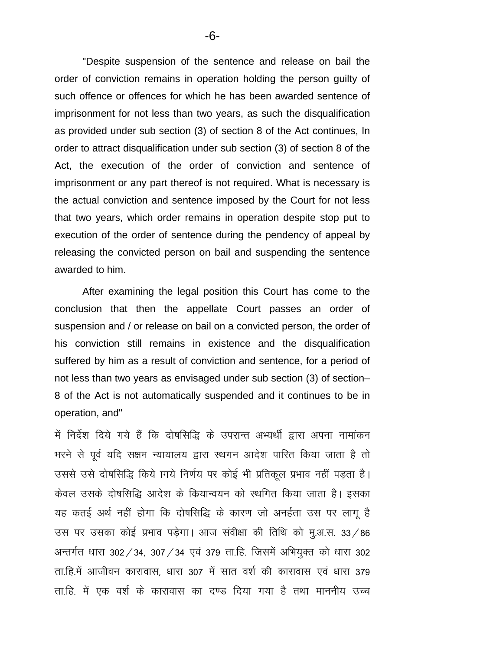"Despite suspension of the sentence and release on bail the order of conviction remains in operation holding the person guilty of such offence or offences for which he has been awarded sentence of imprisonment for not less than two years, as such the disqualification as provided under sub section (3) of section 8 of the Act continues, In order to attract disqualification under sub section (3) of section 8 of the Act, the execution of the order of conviction and sentence of imprisonment or any part thereof is not required. What is necessary is the actual conviction and sentence imposed by the Court for not less that two years, which order remains in operation despite stop put to execution of the order of sentence during the pendency of appeal by releasing the convicted person on bail and suspending the sentence awarded to him.

After examining the legal position this Court has come to the conclusion that then the appellate Court passes an order of suspension and / or release on bail on a convicted person, the order of his conviction still remains in existence and the disqualification suffered by him as a result of conviction and sentence, for a period of not less than two years as envisaged under sub section (3) of section– 8 of the Act is not automatically suspended and it continues to be in operation, and"

में निर्देश दिये गये हैं कि दोषसिद्धि के उपरान्त अभ्यर्थी द्वारा अपना नामांकन भरने से पूर्व यदि सक्षम न्यायालय द्वारा स्थगन आदेश पारित किया जाता है तो उससे उसे दोषसिद्धि किये ागये निर्णय पर कोई भी प्रतिकूल प्रभाव नहीं पड़ता है। केवल उसके दोषसिद्धि आदेश के कियान्वयन को स्थगित किया जाता है। इसका यह कतई अर्थ नहीं होगा कि दोषसिद्धि के कारण जो अनर्हता उस पर लाग है उस पर उसका कोई प्रभाव पड़ेगा। आज संवीक्षा की तिथि को मु.अ.स. 33/86 अन्तर्गत धारा 302/34, 307/34 एवं 379 ता.हि. जिसमें अभियुक्त को धारा 302 ता.हि.में आजीवन कारावास, धारा 307 में सात वर्श की कारावास एवं धारा 379 ता.हि. में एक वर्श के कारावास का दण्ड दिया गया है तथा माननीय उच्च